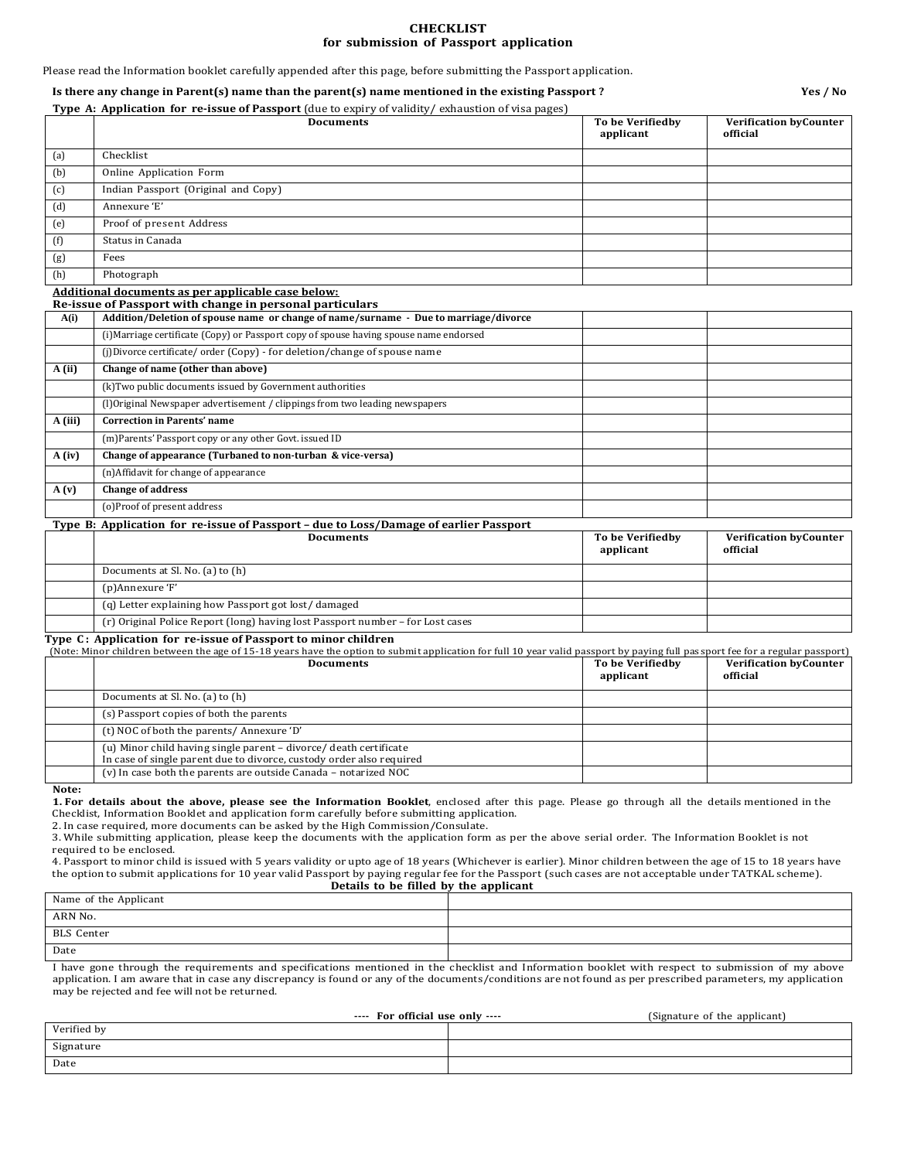#### **CHECKLIST for submission of Passport application**

Please read the Information booklet carefully appended after this page, before submitting the Passport application.

#### **Is there any change in Parent(s) name than the parent(s) name mentioned in the existing Passport ? Yes / No**

**Type A: Application for re-issue of Passport** (due to expiry of validity/ exhaustion of visa pages)

|         | <b>Documents</b>                                                                                                                                                                                                                                 | To be Verifiedby<br>applicant | <b>Verification by Counter</b><br>official |
|---------|--------------------------------------------------------------------------------------------------------------------------------------------------------------------------------------------------------------------------------------------------|-------------------------------|--------------------------------------------|
| (a)     | Checklist                                                                                                                                                                                                                                        |                               |                                            |
| (b)     | <b>Online Application Form</b>                                                                                                                                                                                                                   |                               |                                            |
| (c)     | Indian Passport (Original and Copy)                                                                                                                                                                                                              |                               |                                            |
| (d)     | Annexure 'E'                                                                                                                                                                                                                                     |                               |                                            |
| (e)     | Proof of present Address                                                                                                                                                                                                                         |                               |                                            |
| (f)     | Status in Canada                                                                                                                                                                                                                                 |                               |                                            |
| (g)     | Fees                                                                                                                                                                                                                                             |                               |                                            |
| (h)     | Photograph                                                                                                                                                                                                                                       |                               |                                            |
| A(i)    | Additional documents as per applicable case below:<br>Re-issue of Passport with change in personal particulars<br>Addition/Deletion of spouse name or change of name/surname - Due to marriage/divorce                                           |                               |                                            |
|         | (i) Marriage certificate (Copy) or Passport copy of spouse having spouse name endorsed                                                                                                                                                           |                               |                                            |
|         | (i)Divorce certificate/order (Copy) - for deletion/change of spouse name                                                                                                                                                                         |                               |                                            |
| A(ii)   | Change of name (other than above)                                                                                                                                                                                                                |                               |                                            |
|         | (k) Two public documents issued by Government authorities                                                                                                                                                                                        |                               |                                            |
|         | (I)Original Newspaper advertisement / clippings from two leading newspapers                                                                                                                                                                      |                               |                                            |
| A (iii) | <b>Correction in Parents' name</b>                                                                                                                                                                                                               |                               |                                            |
|         | (m)Parents' Passport copy or any other Govt. issued ID                                                                                                                                                                                           |                               |                                            |
| A (iv)  | Change of appearance (Turbaned to non-turban & vice-versa)                                                                                                                                                                                       |                               |                                            |
|         | (n)Affidavit for change of appearance                                                                                                                                                                                                            |                               |                                            |
| A(v)    | <b>Change of address</b>                                                                                                                                                                                                                         |                               |                                            |
|         | (o)Proof of present address                                                                                                                                                                                                                      |                               |                                            |
|         | Type B: Application for re-issue of Passport - due to Loss/Damage of earlier Passport                                                                                                                                                            |                               |                                            |
|         | <b>Documents</b>                                                                                                                                                                                                                                 | To be Verifiedby<br>applicant | <b>Verification by Counter</b><br>official |
|         | Documents at Sl. No. (a) to (h)                                                                                                                                                                                                                  |                               |                                            |
|         | (p)Annexure 'F'                                                                                                                                                                                                                                  |                               |                                            |
|         | (q) Letter explaining how Passport got lost/damaged                                                                                                                                                                                              |                               |                                            |
|         | (r) Original Police Report (long) having lost Passport number - for Lost cases                                                                                                                                                                   |                               |                                            |
|         | Type C: Application for re-issue of Passport to minor children<br>(Note: Minor children between the age of 15-18 years have the option to submit application for full 10 year valid passport by paying full passport fee for a regular passport) |                               |                                            |
|         | <b>Documents</b>                                                                                                                                                                                                                                 | To be Verifiedby<br>applicant | <b>Verification byCounter</b><br>official  |
|         | Documents at Sl. No. (a) to (h)                                                                                                                                                                                                                  |                               |                                            |
|         | (s) Passport copies of both the parents                                                                                                                                                                                                          |                               |                                            |
|         | (t) NOC of both the parents/Annexure 'D'                                                                                                                                                                                                         |                               |                                            |
|         | (u) Minor child having single parent - divorce/ death certificate<br>In case of single parent due to divorce, custody order also required<br>(v) In case both the parents are outside Canada - notarized NOC                                     |                               |                                            |
|         |                                                                                                                                                                                                                                                  |                               |                                            |

**Note:**

**1. For details about the above, please see the Information Booklet**, enclosed after this page. Please go through all the details mentioned in the Checklist, Information Booklet and application form carefully before submitting application.

2. In case required, more documents can be asked by the High Commission/Consulate.

3. While submitting application, please keep the documents with the application form as per the above serial order. The Information Booklet is not required to be enclosed.

4. Passport to minor child is issued with 5 years validity or upto age of 18 years (Whichever is earlier). Minor children between the age of 15 to 18 years have the option to submit applications for 10 year valid Passport by paying regular fee for the Passport (such cases are not acceptable under TATKAL scheme). **Details to be filled by the applicant**

| Name of the Applicant |  |  |  |  |  |
|-----------------------|--|--|--|--|--|
| ARN No.               |  |  |  |  |  |
| BLS Center            |  |  |  |  |  |
| Date                  |  |  |  |  |  |
|                       |  |  |  |  |  |

I have gone through the requirements and specifications mentioned in the checklist and Information booklet with respect to submission of my above application. I am aware that in case any discrepancy is found or any of the documents/conditions are not found as per prescribed parameters, my application may be rejected and fee will not be returned.

| ---- For official use only ---- |  | (Signature of the applicant) |  |
|---------------------------------|--|------------------------------|--|
| Verified by                     |  |                              |  |
| Signature                       |  |                              |  |
| Date                            |  |                              |  |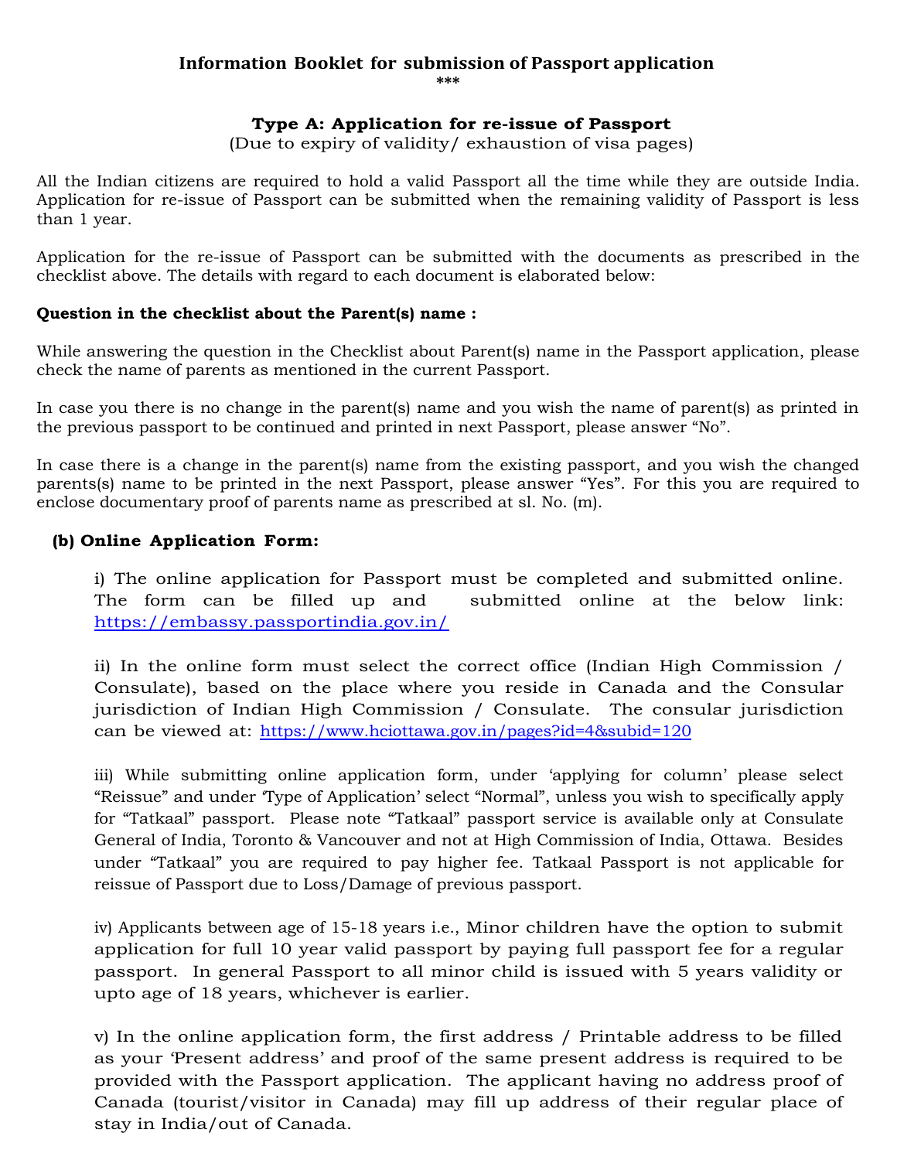# **Information Booklet for submission of Passport application**

**\*\*\***

## **Type A: Application for re-issue of Passport**

(Due to expiry of validity/ exhaustion of visa pages)

All the Indian citizens are required to hold a valid Passport all the time while they are outside India. Application for re-issue of Passport can be submitted when the remaining validity of Passport is less than 1 year.

Application for the re-issue of Passport can be submitted with the documents as prescribed in the checklist above. The details with regard to each document is elaborated below:

### **Question in the checklist about the Parent(s) name :**

While answering the question in the Checklist about Parent(s) name in the Passport application, please check the name of parents as mentioned in the current Passport.

In case you there is no change in the parent(s) name and you wish the name of parent(s) as printed in the previous passport to be continued and printed in next Passport, please answer "No".

In case there is a change in the parent(s) name from the existing passport, and you wish the changed parents(s) name to be printed in the next Passport, please answer "Yes". For this you are required to enclose documentary proof of parents name as prescribed at sl. No. (m).

# **(b) Online Application Form:**

i) The online application for Passport must be completed and submitted online. The form can be filled up and submitted online at the below link: <https://embassy.passportindia.gov.in/>

ii) In the online form must select the correct office (Indian High Commission / Consulate), based on the place where you reside in Canada and the Consular jurisdiction of Indian High Commission / Consulate. The consular jurisdiction can be viewed at: <https://www.hciottawa.gov.in/pages?id=4&subid=120>

iii) While submitting online application form, under 'applying for column' please select "Reissue" and under 'Type of Application' select "Normal", unless you wish to specifically apply for "Tatkaal" passport. Please note "Tatkaal" passport service is available only at Consulate General of India, Toronto & Vancouver and not at High Commission of India, Ottawa. Besides under "Tatkaal" you are required to pay higher fee. Tatkaal Passport is not applicable for reissue of Passport due to Loss/Damage of previous passport.

iv) Applicants between age of 15-18 years i.e., Minor children have the option to submit application for full 10 year valid passport by paying full passport fee for a regular passport. In general Passport to all minor child is issued with 5 years validity or upto age of 18 years, whichever is earlier.

v) In the online application form, the first address / Printable address to be filled as your 'Present address' and proof of the same present address is required to be provided with the Passport application. The applicant having no address proof of Canada (tourist/visitor in Canada) may fill up address of their regular place of stay in India/out of Canada.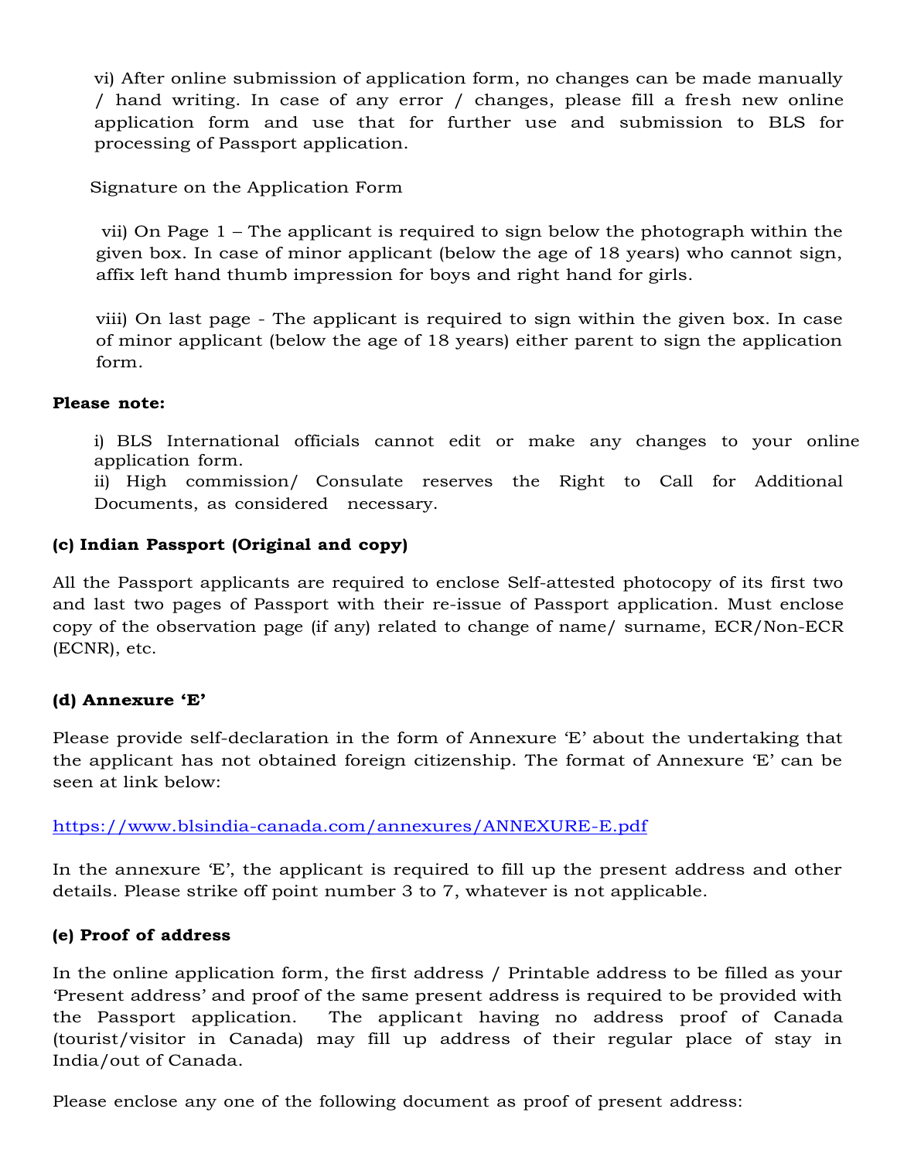vi) After online submission of application form, no changes can be made manually / hand writing. In case of any error / changes, please fill a fresh new online application form and use that for further use and submission to BLS for processing of Passport application.

Signature on the Application Form

 vii) On Page 1 – The applicant is required to sign below the photograph within the given box. In case of minor applicant (below the age of 18 years) who cannot sign, affix left hand thumb impression for boys and right hand for girls.

viii) On last page - The applicant is required to sign within the given box. In case of minor applicant (below the age of 18 years) either parent to sign the application form.

# **Please note:**

i) BLS International officials cannot edit or make any changes to your online application form.

ii) High commission/ Consulate reserves the Right to Call for Additional Documents, as considered necessary.

# **(c) Indian Passport (Original and copy)**

All the Passport applicants are required to enclose Self-attested photocopy of its first two and last two pages of Passport with their re-issue of Passport application. Must enclose copy of the observation page (if any) related to change of name/ surname, ECR/Non-ECR (ECNR), etc.

# **(d) Annexure 'E'**

Please provide self-declaration in the form of Annexure 'E' about the undertaking that the applicant has not obtained foreign citizenship. The format of Annexure 'E' can be seen at link below:

# <https://www.blsindia-canada.com/annexures/ANNEXURE-E.pdf>

In the annexure 'E', the applicant is required to fill up the present address and other details. Please strike off point number 3 to 7, whatever is not applicable.

# **(e) Proof of address**

In the online application form, the first address / Printable address to be filled as your 'Present address' and proof of the same present address is required to be provided with the Passport application. The applicant having no address proof of Canada (tourist/visitor in Canada) may fill up address of their regular place of stay in India/out of Canada.

Please enclose any one of the following document as proof of present address: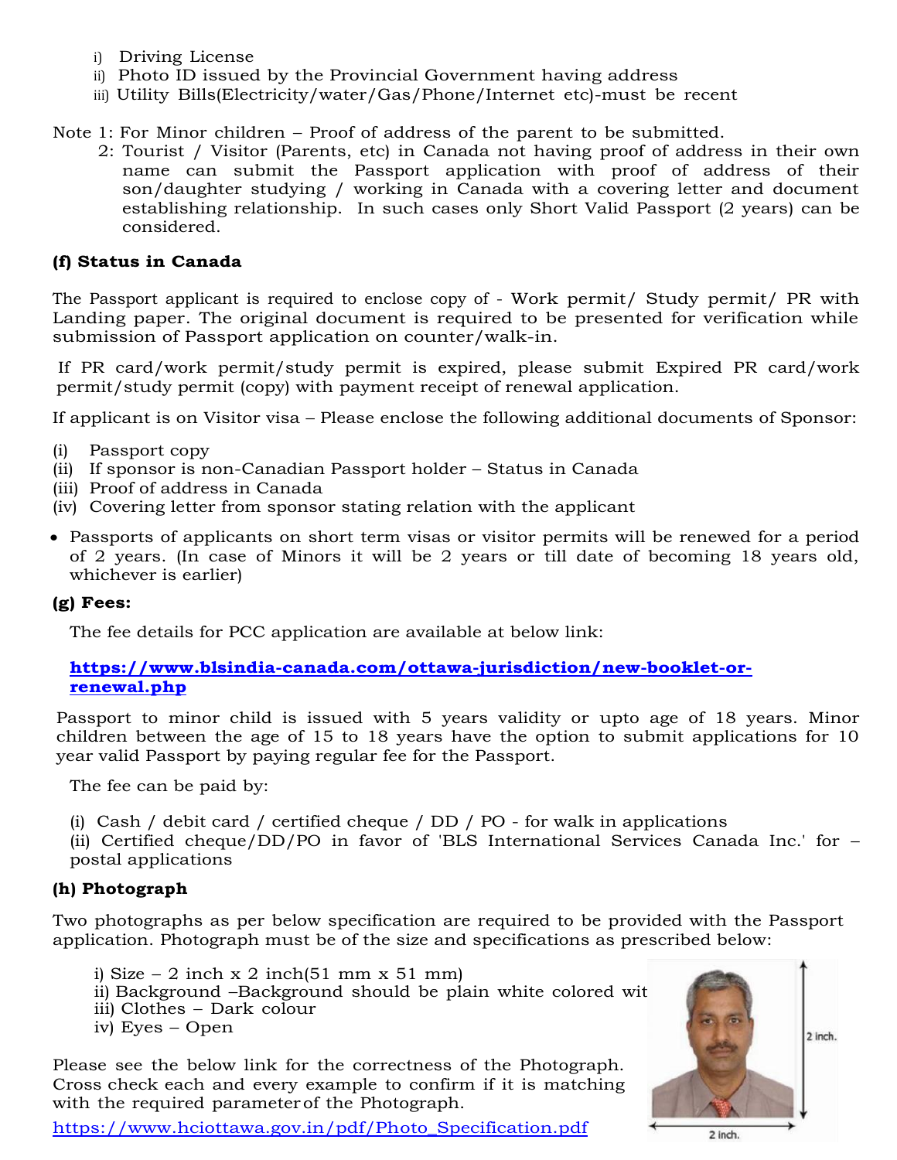- i) Driving License
- ii) Photo ID issued by the Provincial Government having address
- iii) Utility Bills(Electricity/water/Gas/Phone/Internet etc)-must be recent

Note 1: For Minor children – Proof of address of the parent to be submitted.

 2: Tourist / Visitor (Parents, etc) in Canada not having proof of address in their own name can submit the Passport application with proof of address of their son/daughter studying / working in Canada with a covering letter and document establishing relationship. In such cases only Short Valid Passport (2 years) can be considered.

# **(f) Status in Canada**

The Passport applicant is required to enclose copy of - Work permit/ Study permit/ PR with Landing paper. The original document is required to be presented for verification while submission of Passport application on counter/walk-in.

If PR card/work permit/study permit is expired, please submit Expired PR card/work permit/study permit (copy) with payment receipt of renewal application.

If applicant is on Visitor visa – Please enclose the following additional documents of Sponsor:

- (i) Passport copy
- (ii) If sponsor is non-Canadian Passport holder Status in Canada
- (iii) Proof of address in Canada
- (iv) Covering letter from sponsor stating relation with the applicant
- Passports of applicants on short term visas or visitor permits will be renewed for a period of 2 years. (In case of Minors it will be 2 years or till date of becoming 18 years old, whichever is earlier)

### **(g) Fees:**

The fee details for PCC application are available at below link:

# **[https://www.blsindia-canada.com/ottawa-jurisdiction/new-booklet-or](https://www.blsindia-canada.com/ottawa-jurisdiction/new-booklet-or-renewal.php)[renewal.php](https://www.blsindia-canada.com/ottawa-jurisdiction/new-booklet-or-renewal.php)**

Passport to minor child is issued with 5 years validity or upto age of 18 years. Minor children between the age of 15 to 18 years have the option to submit applications for 10 year valid Passport by paying regular fee for the Passport.

The fee can be paid by:

(i) Cash / debit card / certified cheque / DD / PO - for walk in applications

(ii) Certified cheque/DD/PO in favor of 'BLS International Services Canada Inc.' for – postal applications

### **(h) Photograph**

Two photographs as per below specification are required to be provided with the Passport application. Photograph must be of the size and specifications as prescribed below:

i) Size – 2 inch x 2 inch(51 mm x 51 mm) ii) Background –Background should be plain white colored with iii) Clothes – Dark colour iv) Eyes – Open

Please see the below link for the correctness of the Photograph. Cross check each and every example to confirm if it is matching with the required parameter of the Photograph.



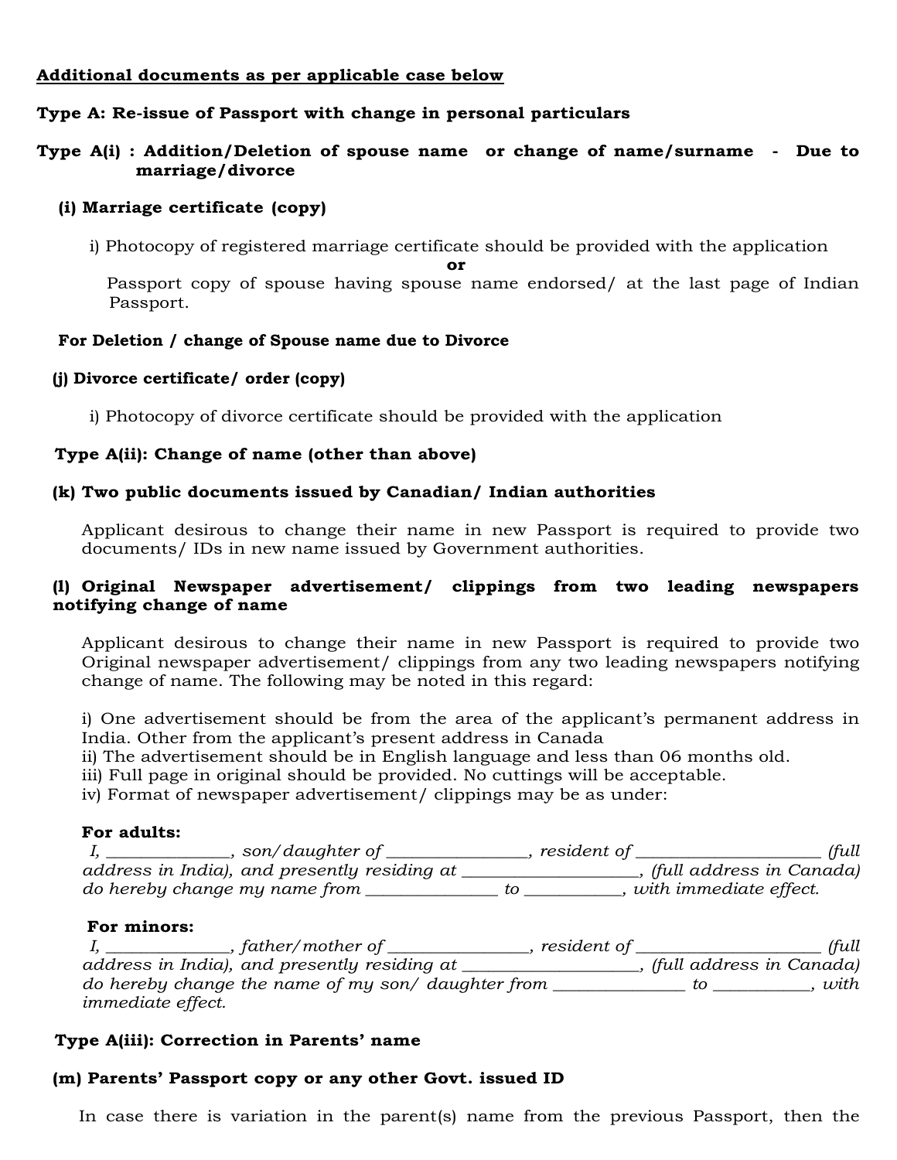# **Additional documents as per applicable case below**

# **Type A: Re-issue of Passport with change in personal particulars**

## **Type A(i) : Addition/Deletion of spouse name or change of name/surname - Due to marriage/divorce**

#### **(i) Marriage certificate (copy)**

i) Photocopy of registered marriage certificate should be provided with the application **or**

Passport copy of spouse having spouse name endorsed/ at the last page of Indian Passport.

#### **For Deletion / change of Spouse name due to Divorce**

#### **(j) Divorce certificate/ order (copy)**

i) Photocopy of divorce certificate should be provided with the application

#### **Type A(ii): Change of name (other than above)**

#### **(k) Two public documents issued by Canadian/ Indian authorities**

Applicant desirous to change their name in new Passport is required to provide two documents/ IDs in new name issued by Government authorities.

#### **(l) Original Newspaper advertisement/ clippings from two leading newspapers notifying change of name**

Applicant desirous to change their name in new Passport is required to provide two Original newspaper advertisement/ clippings from any two leading newspapers notifying change of name. The following may be noted in this regard:

i) One advertisement should be from the area of the applicant's permanent address in India. Other from the applicant's present address in Canada

ii) The advertisement should be in English language and less than 06 months old.

iii) Full page in original should be provided. No cuttings will be acceptable.

iv) Format of newspaper advertisement/ clippings may be as under:

### **For adults:**

| son/daughter of                              | <i>resident</i> of | (full                    |
|----------------------------------------------|--------------------|--------------------------|
| address in India), and presently residing at |                    | (full address in Canada) |
| do hereby change my name from                |                    | with immediate effect.   |

#### **For minors:**

*I, \_\_\_\_\_\_\_\_\_\_\_\_\_\_, father/mother of \_\_\_\_\_\_\_\_\_\_\_\_\_\_\_\_, resident of \_\_\_\_\_\_\_\_\_\_\_\_\_\_\_\_\_\_\_\_\_ (full address in India), and presently residing at \_\_\_\_\_\_\_\_\_\_\_\_\_\_\_\_\_\_\_\_, (full address in Canada) do hereby change the name of my son/ daughter from \_\_\_\_\_\_\_\_\_\_\_\_\_\_\_ to \_\_\_\_\_\_\_\_\_\_\_, with immediate effect.*

### **Type A(iii): Correction in Parents' name**

### **(m) Parents' Passport copy or any other Govt. issued ID**

In case there is variation in the parent(s) name from the previous Passport, then the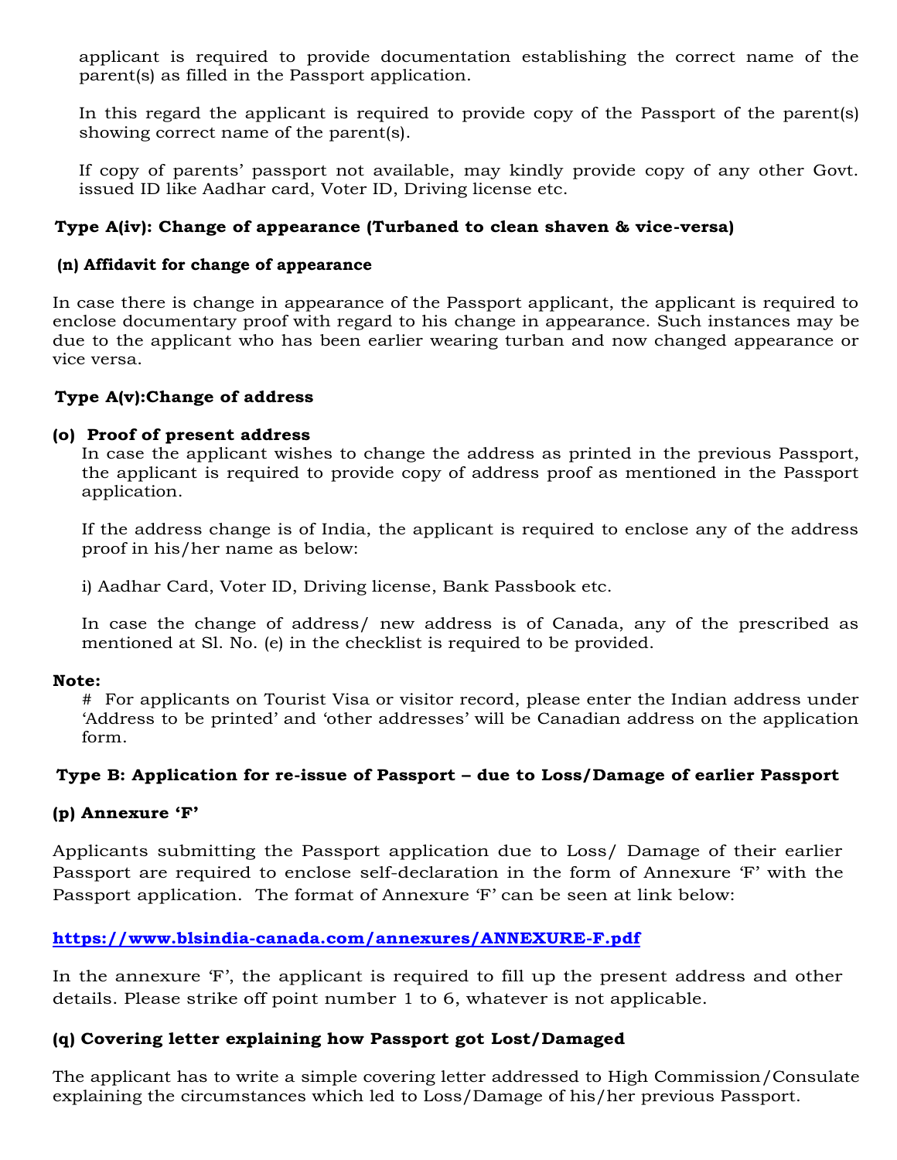applicant is required to provide documentation establishing the correct name of the parent(s) as filled in the Passport application.

In this regard the applicant is required to provide copy of the Passport of the parent(s) showing correct name of the parent(s).

If copy of parents' passport not available, may kindly provide copy of any other Govt. issued ID like Aadhar card, Voter ID, Driving license etc.

# **Type A(iv): Change of appearance (Turbaned to clean shaven & vice-versa)**

# **(n) Affidavit for change of appearance**

In case there is change in appearance of the Passport applicant, the applicant is required to enclose documentary proof with regard to his change in appearance. Such instances may be due to the applicant who has been earlier wearing turban and now changed appearance or vice versa.

# **Type A(v):Change of address**

### **(o) Proof of present address**

In case the applicant wishes to change the address as printed in the previous Passport, the applicant is required to provide copy of address proof as mentioned in the Passport application.

If the address change is of India, the applicant is required to enclose any of the address proof in his/her name as below:

i) Aadhar Card, Voter ID, Driving license, Bank Passbook etc.

In case the change of address/ new address is of Canada, any of the prescribed as mentioned at Sl. No. (e) in the checklist is required to be provided.

### **Note:**

# For applicants on Tourist Visa or visitor record, please enter the Indian address under 'Address to be printed' and 'other addresses' will be Canadian address on the application form.

## **Type B: Application for re-issue of Passport – due to Loss/Damage of earlier Passport**

### **(p) Annexure 'F'**

Applicants submitting the Passport application due to Loss/ Damage of their earlier Passport are required to enclose self-declaration in the form of Annexure 'F' with the Passport application. The format of Annexure 'F' can be seen at link below:

# **<https://www.blsindia-canada.com/annexures/ANNEXURE-F.pdf>**

In the annexure 'F', the applicant is required to fill up the present address and other details. Please strike off point number 1 to 6, whatever is not applicable.

# **(q) Covering letter explaining how Passport got Lost/Damaged**

The applicant has to write a simple covering letter addressed to High Commission/Consulate explaining the circumstances which led to Loss/Damage of his/her previous Passport.